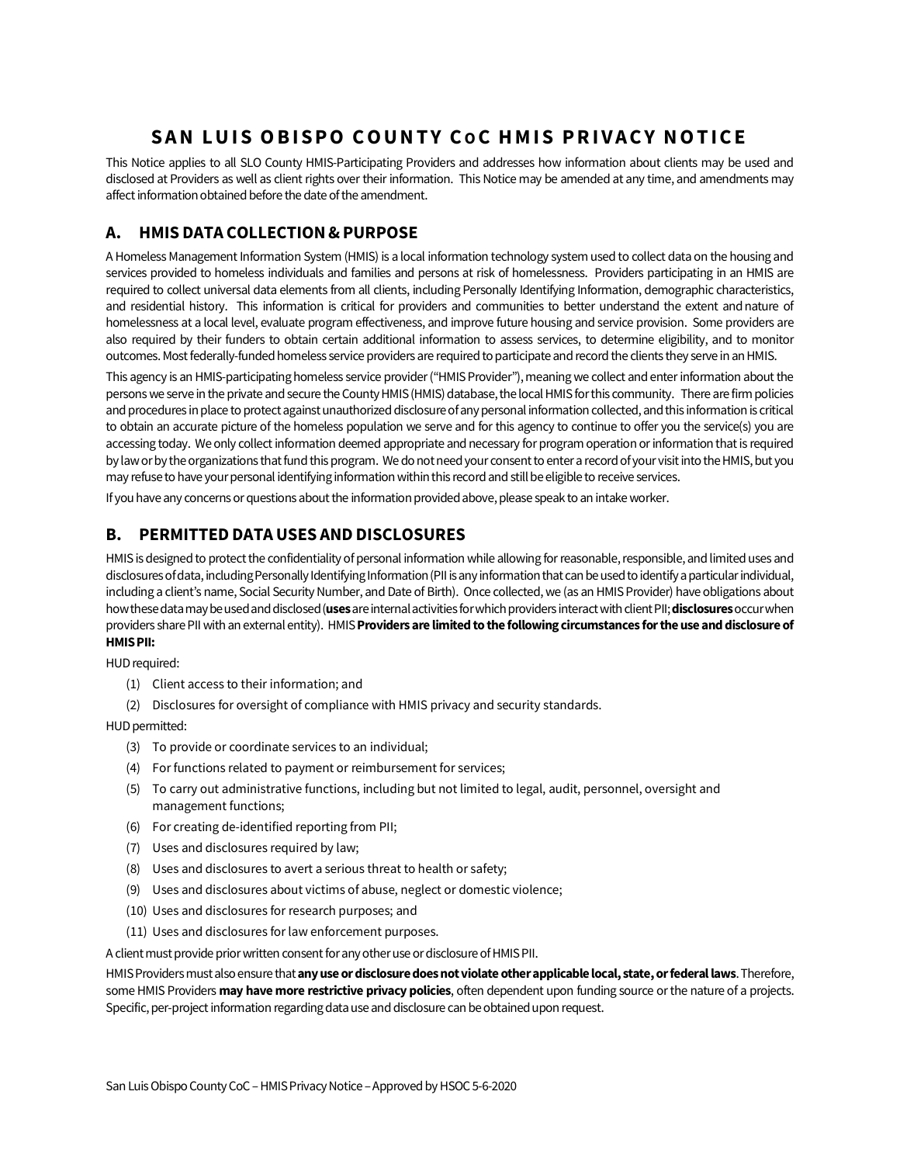# **SAN LUIS OBISPO COUNTY C OC HMIS PRIVACY NOTICE**

This Notice applies to all SLO County HMIS-Participating Providers and addresses how information about clients may be used and disclosed at Providers as well as client rights over their information. This Notice may be amended at any time, and amendments may affect information obtained before the date of the amendment.

## **A. HMIS DATA COLLECTION&PURPOSE**

A Homeless Management Information System (HMIS) is a local information technology system used to collect data on the housing and services provided to homeless individuals and families and persons at risk of homelessness. Providers participating in an HMIS are required to collect universal data elements from all clients, including Personally Identifying Information, demographic characteristics, and residential history. This information is critical for providers and communities to better understand the extent andnature of homelessness at a local level, evaluate program effectiveness, and improve future housing and service provision. Some providers are also required by their funders to obtain certain additional information to assess services, to determine eligibility, and to monitor outcomes. Most federally-funded homeless service providers are required to participate and record the clients they serve in an HMIS.

This agency is an HMIS-participating homeless service provider ("HMIS Provider"), meaning we collect and enter information about the persons we serve in the private and secure the County HMIS (HMIS) database, the local HMIS for this community. There are firm policies and procedures in place to protect against unauthorized disclosure of any personal information collected, and this information is critical to obtain an accurate picture of the homeless population we serve and for this agency to continue to offer you the service(s) you are accessing today. We only collect information deemed appropriate and necessary for program operation or information that is required by law or by the organizations that fund this program. We do not need your consent to enter a record of your visit into the HMIS, but you may refuse to have your personal identifying information within this record and still be eligible to receive services.

If you have any concerns or questions about the information provided above, please speak to an intake worker.

#### **B. PERMITTED DATA USES AND DISCLOSURES**

HMIS is designed to protect the confidentiality of personal information while allowing for reasonable, responsible, and limited uses and disclosures of data, including Personally Identifying Information (PII is any information that can be used to identify a particular individual, including a client's name, Social Security Number, and Date of Birth). Once collected, we (as an HMIS Provider) have obligations about how these data may be used and disclosed (**uses**are internal activities for which providers interact with client PII; **disclosures**occur when providers share PII with an external entity). HMIS **Providers are limited to the following circumstances for the use and disclosure of HMIS PII:** 

HUD required:

- (1) Client access to their information; and
- (2) Disclosures for oversight of compliance with HMIS privacy and security standards.

HUD permitted:

- (3) To provide or coordinate services to an individual;
- (4) For functions related to payment or reimbursement for services;
- (5) To carry out administrative functions, including but not limited to legal, audit, personnel, oversight and management functions;
- (6) For creating de-identified reporting from PII;
- (7) Uses and disclosures required by law;
- (8) Uses and disclosures to avert a serious threat to health or safety;
- (9) Uses and disclosures about victims of abuse, neglect or domestic violence;
- (10) Uses and disclosures for research purposes; and
- (11) Uses and disclosures for law enforcement purposes.

A client must provide prior written consent for any other use or disclosure of HMIS PII.

HMIS Providers must also ensure that**any use or disclosure does not violate other applicable local, state, or federal laws**. Therefore, some HMIS Providers **may have more restrictive privacy policies**, often dependent upon funding source or the nature of a projects. Specific, per-project information regarding data use and disclosure can be obtained upon request.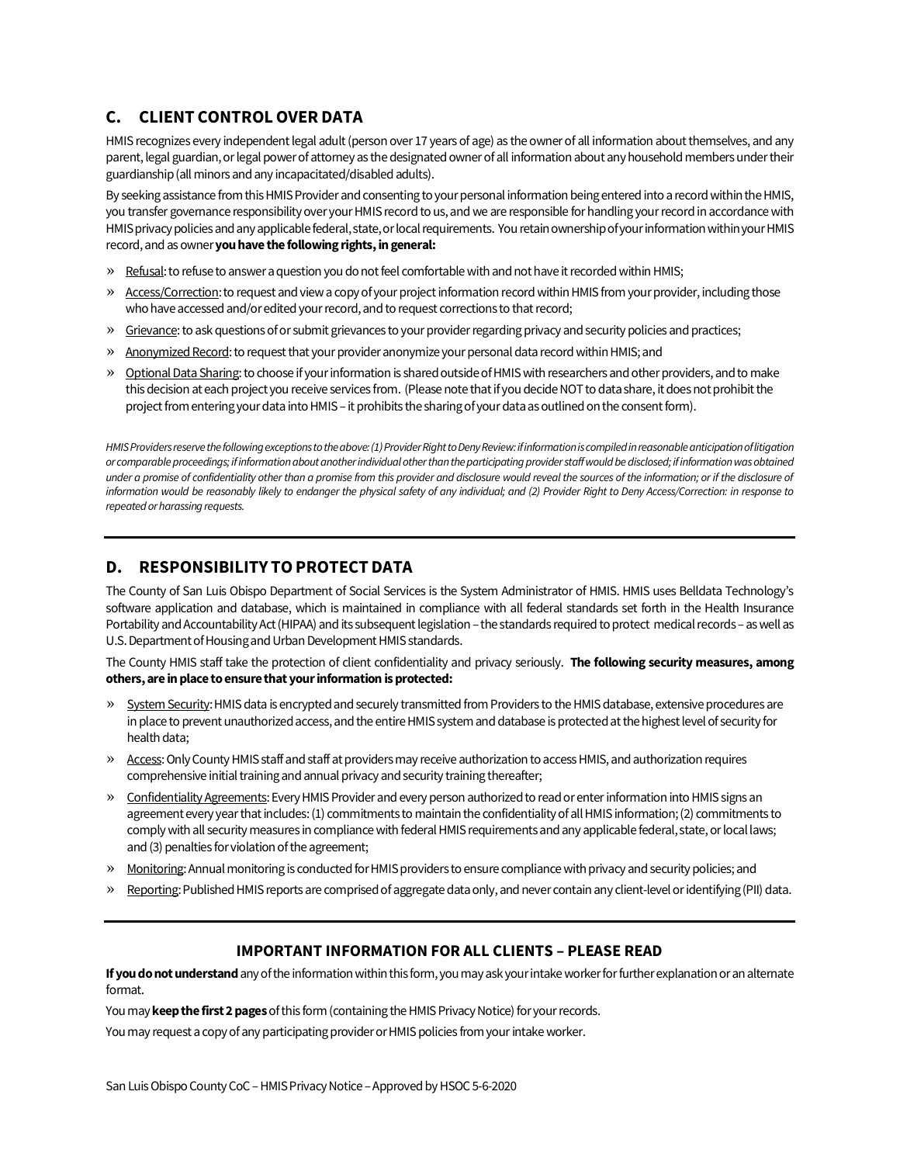## **C. CLIENT CONTROLOVER DATA**

HMIS recognizes every independent legal adult (person over 17 years of age) as the owner of all information about themselves, and any parent, legal guardian, or legal power of attorney as the designated owner of all information about any household members under their guardianship (all minors and any incapacitated/disabled adults).

By seeking assistance from this HMIS Provider and consenting to your personal information being entered into a record within the HMIS, you transfer governance responsibility over your HMIS record to us, and we are responsible for handling your record in accordance with HMIS privacy policies and any applicable federal, state, or local requirements. You retain ownership of your information within your HMIS record, and as owner **you have the following rights, in general:**

- » Refusal: to refuse to answer a question you do not feel comfortable with and not have it recorded within HMIS;
- » Access/Correction: to request and view a copy of your project information record within HMIS from your provider, including those who have accessed and/or edited your record, and to request corrections to that record;
- » Grievance: to ask questions of or submit grievances to your provider regarding privacy and security policies and practices;
- » Anonymized Record: to request that your provider anonymize your personal data record within HMIS; and
- » Optional Data Sharing: to choose if your information is shared outside of HMIS with researchers and other providers, and to make this decision at each project you receive services from. (Please note that if you decide NOT to data share, it does not prohibit the project from entering your data into HMIS – it prohibits the sharing of your data as outlined on the consent form).

*HMIS Providers reserve the following exceptions to the above: (1) Provider Right to Deny Review: if information is compiled in reasonable anticipation of litigation or comparable proceedings; if information about another individual other than the participating provider staff would be disclosed; if information was obtained under a promise of confidentiality other than a promise from this provider and disclosure would reveal the sources of the information; or if the disclosure of information would be reasonably likely to endanger the physical safety of any individual; and (2) Provider Right to Deny Access/Correction: in response to repeated or harassing requests.* 

#### **D. RESPONSIBILITY TOPROTECT DATA**

The County of San Luis Obispo Department of Social Services is the System Administrator of HMIS. HMIS uses Belldata Technology's software application and database, which is maintained in compliance with all federal standards set forth in the Health Insurance Portability and Accountability Act (HIPAA) and its subsequent legislation – the standards required to protect medical records – as well as U.S. Department of Housing and Urban Development HMIS standards.

The County HMIS staff take the protection of client confidentiality and privacy seriously. **The following security measures, among others, are in place to ensurethat your information is protected:**

- » System Security: HMIS data is encrypted and securely transmitted from Providers to the HMIS database, extensive procedures are in place to prevent unauthorized access, and the entire HMIS system and database is protected at the highest level of security for health data;
- » Access: Only County HMIS staff and staff at providers may receive authorization to access HMIS, and authorization requires comprehensive initial training and annual privacy and security training thereafter;
- » Confidentiality Agreements: Every HMIS Provider and every person authorized to read or enter information into HMIS signs an agreement every year that includes: (1) commitments to maintain the confidentiality of all HMIS information; (2) commitments to comply with all security measures in compliance with federal HMIS requirements and any applicable federal, state, or local laws; and (3) penalties for violation of the agreement;
- » Monitoring: Annual monitoring is conducted for HMIS providers to ensure compliance with privacy and security policies; and
- » Reporting: Published HMIS reports are comprised of aggregate data only, and never contain any client-level or identifying (PII) data.

#### **IMPORTANT INFORMATION FOR ALL CLIENTS – PLEASE READ**

**If you do not understand**any of the information within this form, you may ask your intake worker for further explanation or an alternate format.

You may **keep the first 2 pages**of this form (containing the HMIS Privacy Notice) for your records.

You may request a copy of any participating provider or HMIS policies from your intake worker.